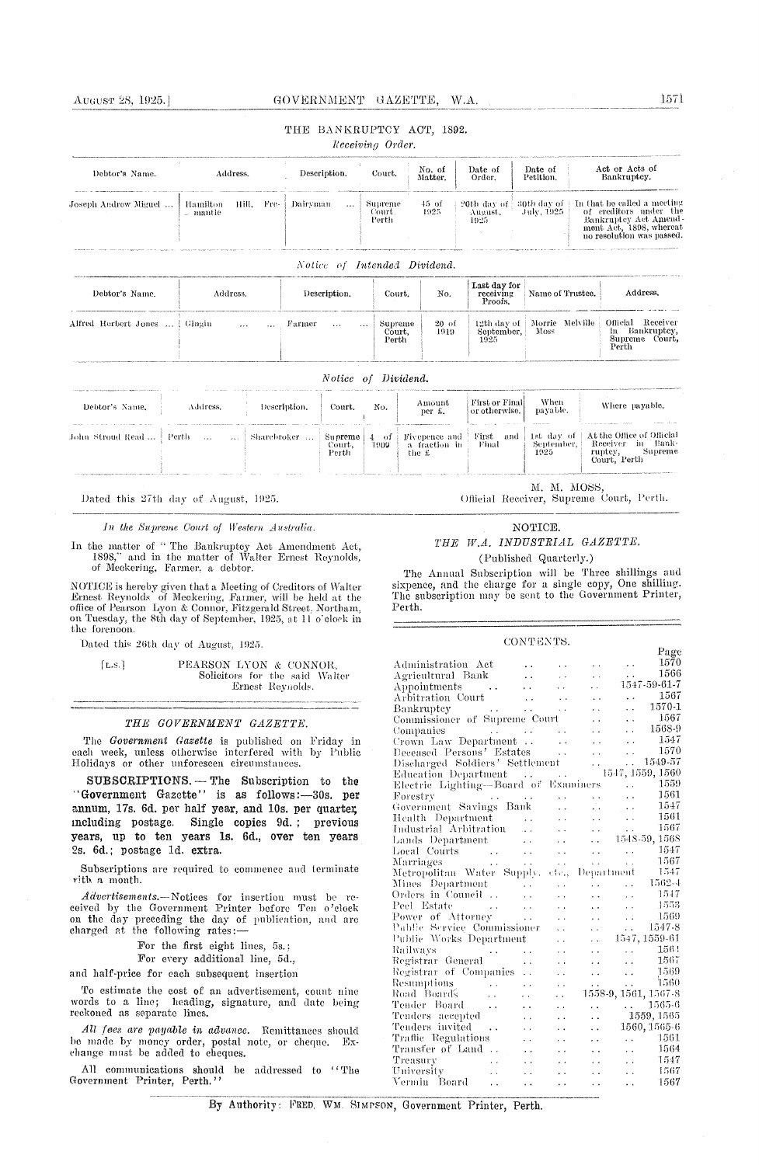#### AUGUST 28, 1925.]

# GOVERNMENT GAZETTE, W.A.

# THE BANKRUPTCY ACT, 1892.

Receiving Order.

| Debtor's Name.<br>Address.     |                                    | Description.                                 | Court.                     | No. of<br>Matter. | Date of<br>Order.                    | Date of<br>Petition.       | Act or Acts of<br>Bankruptcy. |                                                                                                                                        |
|--------------------------------|------------------------------------|----------------------------------------------|----------------------------|-------------------|--------------------------------------|----------------------------|-------------------------------|----------------------------------------------------------------------------------------------------------------------------------------|
| Joseph Androw Miguel           | Hill. Fre-<br>Hamilton<br>… mantle | Dairyman<br>$\cdots$                         | Supreme<br>Court.<br>Perth | 45 of<br>1925     | 20th day of 1<br>August,<br>1925     | -30th day of<br>July, 1925 |                               | In that he called a meeting<br>of creditors under the<br>Bankruptcy Act Amend-<br>ment Act, 1898, whereat<br>no resolution was passed. |
| Debtor's Name.                 | Address.                           | Notice of Intended Dividend.<br>Description. | Court.                     | No.               | Last day for<br>receiving<br>Proofs. | Name of Trustee.           |                               | Address.                                                                                                                               |
| Alfred Herbert Jones    Gingin | $\sim$ $\sim$ $\sim$               | Farmer<br>$\cdots$<br>$\cdots$               | Supreme<br>Court,<br>Perth | 20 of<br>1919     | 12th day of<br>September,<br>1925    | Morrie Melville<br>Moss    |                               | Receiver<br>Official<br>Bankruptcy,<br>in.<br>Supreme Court.<br>Perth                                                                  |

#### Notice of Dividend.

| the company and the company company of the company of the company of the company of the company of the company of |          |              |                            |             |                                            |                                      |                                            |                                                                                             |
|-------------------------------------------------------------------------------------------------------------------|----------|--------------|----------------------------|-------------|--------------------------------------------|--------------------------------------|--------------------------------------------|---------------------------------------------------------------------------------------------|
| Debtor's Name.                                                                                                    | Address. | Description. | Court.                     | No.         | Amount<br>per £.                           | First or Final<br>or otherwise.<br>. | When<br>payable.<br><b>WARRANT COLLEGE</b> | Where payable.                                                                              |
| John Stroud Read  -                                                                                               | Perth    | Sharebroker  | Supreme<br>Court.<br>Perth | -01<br>1909 | Fivepence and<br>fraction in<br>a<br>the £ | First<br>and<br>Final                | lst day of<br>September,<br>1925           | At the Office of Official<br>- Bank-<br>Receiver<br>m<br>Supreme<br>ruptcy,<br>Court, Perth |

Dated this 27th day of August, 1925.

In the Supreme Court of Western Australia.

In the matter of "The Bankruptoy Act Amendment Act,  $1898$ ," and in the matter of Walter Ernest Reynolds, of Meckering, Farmer, a debtor.

NOTICE is hereby given that a Meeting of Creditors of Walter Ernest Reynolds of Meckering, Farmer, will be held at the office of Pearson Lyon & Connor, Fitzgerald Street, Northam, on Tuesday, the 8th day of September, 1925, at 11 o'clock in the forenoon.

Dated this 26th day of August, 1925.

 $[L.s.]$ PEARSON LYON & CONNOR, Solicitors for the said Walter Ernest Reynolds.

# THE GOVERNMENT GAZETTE.

The Government Gazette is published on Friday in each week, unless otherwise interfered with by Public Holidays or other unforeseen circumstances.

SUBSCRIPTIONS. - The Subscription to the "Government Gazette" is as follows:-30s. per annum, 17s. 6d. per half year, and 10s. per quarter, including postage. Single copies 9d.; previous years, up to ten years 1s. 6d., over ten years 2s. 6d.; postage 1d. extra.

Subscriptions are required to commence and terminate rith a month.

 $Advert isements.$  Notices for insertion must be received by the Government Printer before Ten o'clock on the day preceding the day of publication, and are charged at the following rates:-

For the first eight lines, 5s.;

For every additional line, 5d.,

and half-price for each subsequent insertion

To estimate the cost of an advertisement, count nine words to a line; heading, signature, and date being reckoned as separate lines.

All fees are payable in advance. Remittances should be made by money order, postal note, or cheque.<br>change must be added to cheques.  $Ex-$ 

All communications should be addressed to "The Government Printer, Perth.'

M. M. MOSS Official Receiver, Supreme Court, Perth.

#### NOTICE.

# THE W.A. INDUSTRIAL GAZETTE. (Published Quarterly.)

The Annual Subscription will be Three shillings and sixpence, and the charge for a single copy, One shilling.<br>The subscription may be sent to the Government Printer, Perth.

# CONTENTS.

|                                                                                                                                                                                                                                                                                                                                                                                                                                               |                      |                      |                      |                          | Page                                              |
|-----------------------------------------------------------------------------------------------------------------------------------------------------------------------------------------------------------------------------------------------------------------------------------------------------------------------------------------------------------------------------------------------------------------------------------------------|----------------------|----------------------|----------------------|--------------------------|---------------------------------------------------|
| Administration Act                                                                                                                                                                                                                                                                                                                                                                                                                            |                      |                      |                      | $\sim$ $\sim$            | 1570                                              |
| Agricultural Bank                                                                                                                                                                                                                                                                                                                                                                                                                             | $\ddot{\phantom{a}}$ |                      |                      |                          | 1566                                              |
| $\Delta$ ppointments $\cdots$                                                                                                                                                                                                                                                                                                                                                                                                                 |                      |                      | . .                  |                          | 1547-59-61-7                                      |
| Arbitration Court                                                                                                                                                                                                                                                                                                                                                                                                                             | $\sim 10$            |                      |                      | $\ddot{\phantom{a}}$     | 1567                                              |
| Bankruptcy                                                                                                                                                                                                                                                                                                                                                                                                                                    | $\sim 10$            |                      |                      | $\ddot{\phantom{a}}$     | 1570-1                                            |
| Commissioner of Supreme Court                                                                                                                                                                                                                                                                                                                                                                                                                 |                      |                      |                      | $\ddot{\phantom{a}}$     | 1567                                              |
|                                                                                                                                                                                                                                                                                                                                                                                                                                               |                      |                      |                      | . .                      | 1568-9                                            |
| Companies<br>Crown Law Department                                                                                                                                                                                                                                                                                                                                                                                                             |                      |                      | $\ddot{\phantom{0}}$ | $\ddot{\phantom{0}}$     | 1547                                              |
| Deceased Persons' Estates                                                                                                                                                                                                                                                                                                                                                                                                                     |                      | $\sim$ $\sim$        | $\ddot{\phantom{a}}$ | $\ddot{\phantom{1}}$     | 1570                                              |
| Discharged Soldiers' Settlement                                                                                                                                                                                                                                                                                                                                                                                                               |                      |                      | $\ddotsc$            |                          | 1549-57                                           |
| Education Department                                                                                                                                                                                                                                                                                                                                                                                                                          |                      |                      |                      |                          | 1547, 1559, 1560                                  |
| Electric Lighting-Board of Examiners                                                                                                                                                                                                                                                                                                                                                                                                          |                      |                      |                      | $\sim 100$ km s $^{-1}$  | 1559                                              |
| Forestry<br>$\mathcal{L}^{\text{max}}_{\text{max}}$ and $\mathcal{L}^{\text{max}}_{\text{max}}$ and $\mathcal{L}^{\text{max}}_{\text{max}}$                                                                                                                                                                                                                                                                                                   |                      |                      |                      | $\ddot{\phantom{a}}$     | 1561                                              |
| Government Savings Bank                                                                                                                                                                                                                                                                                                                                                                                                                       |                      | $\ddot{\phantom{0}}$ | г.                   | $\sim$ , $\sim$          | 1547                                              |
| Health Department                                                                                                                                                                                                                                                                                                                                                                                                                             | $\ddot{\phantom{0}}$ |                      | $\ddot{\phantom{0}}$ | $\sim$ $\sim$ $\sim$     | 1561                                              |
| Industrial Arbitration                                                                                                                                                                                                                                                                                                                                                                                                                        |                      |                      | $\ddot{\phantom{0}}$ | $\sim$                   | 1567                                              |
| Lands Department                                                                                                                                                                                                                                                                                                                                                                                                                              |                      |                      | $\ddot{\phantom{a}}$ |                          | $-1548-59,1568$                                   |
| Lands Department<br>Local Courts                                                                                                                                                                                                                                                                                                                                                                                                              |                      | $\ddot{\phantom{a}}$ | $\ddot{\phantom{a}}$ | $\sim 100$ km s $^{-1}$  | -- 1547                                           |
| Marriages                                                                                                                                                                                                                                                                                                                                                                                                                                     | $\sim$ $\sim$        | $\ddotsc$            | $\ddot{\phantom{1}}$ | $\ddot{\phantom{a}}$     | - 1567                                            |
| Metropolitan Water Supply, ctc.,                                                                                                                                                                                                                                                                                                                                                                                                              |                      |                      |                      | Department               | - 1547                                            |
| Mines Department                                                                                                                                                                                                                                                                                                                                                                                                                              |                      |                      |                      | . .                      | $1562 - 4$                                        |
| Orders in Council                                                                                                                                                                                                                                                                                                                                                                                                                             | $\sim 100$           |                      |                      | $\ddot{\phantom{0}}$     | 1547                                              |
| Peel Estate<br>$\label{eq:1} \frac{1}{\sqrt{2}}\int_{\mathbb{R}^{2}}\frac{1}{\sqrt{2}}\left(\frac{1}{\sqrt{2}}\right)^{2}e^{-\frac{1}{2}}\left(\frac{1}{\sqrt{2}}\right)^{2}e^{-\frac{1}{2}}\left(\frac{1}{\sqrt{2}}\right)^{2}e^{-\frac{1}{2}}\left(\frac{1}{\sqrt{2}}\right)^{2}e^{-\frac{1}{2}}\left(\frac{1}{\sqrt{2}}\right)^{2}e^{-\frac{1}{2}}\left(\frac{1}{\sqrt{2}}\right)^{2}e^{-\frac{1}{2}}\left(\frac{1}{\sqrt{2}}\right)^{2}e$ |                      |                      |                      | $\ddotsc$                | 1553                                              |
| Power of Attorney                                                                                                                                                                                                                                                                                                                                                                                                                             |                      |                      | $\ddot{\phantom{0}}$ | $\ddot{\phantom{a}}$     | 1569                                              |
| Public Service Commissioner                                                                                                                                                                                                                                                                                                                                                                                                                   |                      |                      | $\ddot{\phantom{0}}$ | $\mathbf{r}$             | 1547-8                                            |
| Public Works Department                                                                                                                                                                                                                                                                                                                                                                                                                       |                      | $\ddot{\phantom{0}}$ | $\ddot{\phantom{0}}$ |                          | 1547, 1559-61                                     |
| Railways<br>$\mathcal{L}_{\text{max}}$ and $\mathcal{L}_{\text{max}}$ and $\mathcal{L}_{\text{max}}$                                                                                                                                                                                                                                                                                                                                          |                      |                      | $\sim$               |                          | 1564<br>$\mathbf{r}$ , and the state $\mathbf{r}$ |
| Registrar General                                                                                                                                                                                                                                                                                                                                                                                                                             | . .                  | . .                  | $\ddot{\phantom{0}}$ | $\ddot{\phantom{a}}$     | 1567                                              |
| Registrar of Companies                                                                                                                                                                                                                                                                                                                                                                                                                        | $\ddot{\phantom{a}}$ | . .                  | $\ddot{\phantom{0}}$ | $\sim$ $\sim$            | 1569                                              |
| Resumptions<br>$\mathcal{L}^{\text{max}}_{\text{max}}$ , where                                                                                                                                                                                                                                                                                                                                                                                | . .                  | . .                  | $\ddot{\phantom{0}}$ | $\ddot{\phantom{a}}$     | 1560                                              |
| Road Board's<br>$\mathcal{L}(\mathbf{x})$                                                                                                                                                                                                                                                                                                                                                                                                     |                      | μ.                   |                      |                          | 1558-9, 1561, 1567-8                              |
| Tender Board<br>$\sim$ .                                                                                                                                                                                                                                                                                                                                                                                                                      |                      | $\sim$               | $\ddot{\phantom{1}}$ | $\mathcal{L}_{\rm{max}}$ | 1565-6                                            |
| Tenders accepted                                                                                                                                                                                                                                                                                                                                                                                                                              | . .                  | . .                  | $\ddot{\phantom{0}}$ |                          | 1559, 1565                                        |
| Tenders invited<br>$\sim$ 4.4                                                                                                                                                                                                                                                                                                                                                                                                                 | $\ddot{\phantom{0}}$ | . .                  | $\ddot{\phantom{0}}$ |                          | 1560, 1565-6                                      |
| Traffic Regulations                                                                                                                                                                                                                                                                                                                                                                                                                           | $\ddot{\phantom{0}}$ |                      | $\ddot{\phantom{1}}$ |                          | 1561<br>e en la p                                 |
| Transfer of Land                                                                                                                                                                                                                                                                                                                                                                                                                              | . .                  |                      |                      | $\ddot{\phantom{a}}$     | 1564                                              |
| Treasury<br>$\sim$ $\sim$                                                                                                                                                                                                                                                                                                                                                                                                                     |                      |                      |                      | $\ddot{\phantom{0}}$     | 1547                                              |
| Treasury<br>University                                                                                                                                                                                                                                                                                                                                                                                                                        |                      |                      |                      | i.                       | 1567                                              |
| Vermin Board<br>$\ddot{\phantom{0}}$                                                                                                                                                                                                                                                                                                                                                                                                          |                      | $\ddot{\phantom{0}}$ | . .                  | . .                      | 1567                                              |
|                                                                                                                                                                                                                                                                                                                                                                                                                                               |                      |                      |                      |                          |                                                   |

By Authority: FRED, WM. SIMPSON, Government Printer, Perth.

1571